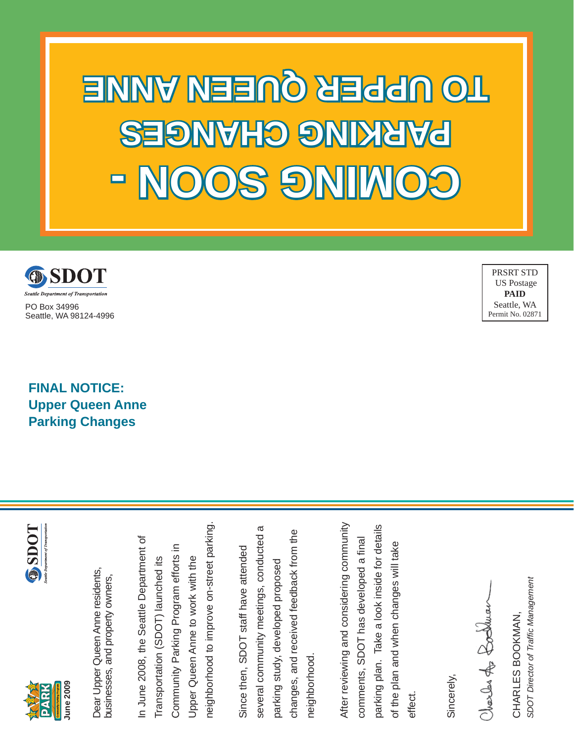**- NOOS GNI MOC SOON - SEGNAHO GHANG UPPER QUEEN ANNE** 



PO Box 34996 Seattle, WA 98124-4996

PRSRT STD US Postage **PAID** Seattle, WA Permit No. 02871

**FINAL NOTICE: Upper Queen Anne Parking Changes**





**June 2009**

**June 2009** 

neighborhood to improve on-street parking. neighborhood to improve on-street parking. In June 2008, the Seattle Department of In June 2008, the Seattle Department of Community Parking Program efforts in Community Parking Program efforts in Upper Queen Anne to work with the Transportation (SDOT) launched its Upper Queen Anne to work with the Transportation (SDOT) launched its

several community meetings, conducted a several community meetings, conducted a changes, and received feedback from the changes, and received feedback from the Since then, SDOT staff have attended Since then, SDOT staff have attended parking study, developed proposed parking study, developed proposed neighborhood. neighborhood

After reviewing and considering community After reviewing and considering community parking plan. Take a look inside for details parking plan. Take a look inside for details comments, SDOT has developed a final of the plan and when changes will take of the plan and when changes will take comments, SDOT has developed a effect.

Sincerely,

Charles for Booklear

SDOT Director of Traffic Management *SDOT Director of Traffi c Management* CHARLES BOOKMAN, CHARLES BOOKMAN,